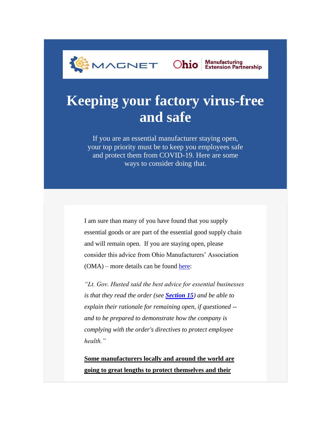

## **Keeping your factory virus-free and safe**

If you are an essential manufacturer staying open, your top priority must be to keep you employees safe and protect them from COVID-19. Here are some ways to consider doing that.

I am sure than many of you have found that you supply essential goods or are part of the essential good supply chain and will remain open. If you are staying open, please consider this advice from Ohio Manufacturers' Association (OMA) – more details can be found [here:](https://www.manufacturingsuccess.org/e2t/c/*W3Rm7JB1wpcN-VYPsws44zz-J0/*W8JZl9x5lzHb2W1XjfS56j_qlV0/5/f18dQhb0S1Xn6XvSJTSp80419gwmW4N0J4-77fRvhN5J04N-ptfMmW3Vvk4179yshCW79Wf318VbSt_W78q12122cQl3N8g9RnsmwlygW1qpFKH1txpgbW8GSLRM4GzzdVW8tzLDY8SncSCW4y7JcN35vHtRW5KPjfn79HSqcW1tsb9984c6LLW3Kcmsz2m4qjrW4Y4zg245r3XfN7jHdjpDQQmPW1NQp7Q3D8J9nW6fBDhp5jYyYDW8Z3kl03yJpKnW3WBjsK7XwgxGW9fNlvK4D90ZkN5KnpSXrzMJlW1JRYXL7lTQSDW2FRjbz3Dh5gLW2v9cdC3FQ9jfN1bCC7DcF-P0VR_70w7_YnbJW6MCwSW6nDjm8W52pc8M40pQGhW3W1-rQ3NPv_KW3B9wbs42bQynW7ZKzPS3qczclW77Jp6058DVZhW2Q73hK20lyxSW1LHB998C9FyQN7rlK-GQPK6yW52Tdw57VVKCGW2zf4vj7R_h99W4JHs7F1BP9pHW6dbg9S4f2Mr-W567rhr1Sx7j_VXBZWP4zVnxzW5Y-lRC3M2j2QW2BRWzb3vv9LNW9kMyyF7sg2y9W66Hhfy8ks4Q1W2jq-F73vC5lbW6nSQkD3nrZ-Nf4FBQq804)

*"Lt. Gov. Husted said the best advice for essential businesses is that they read the order (see [Section 15](https://www.manufacturingsuccess.org/e2t/c/*W3Rm7JB1wpcN-VYPsws44zz-J0/*W3krMct2PJD7MW819CkB7S82CH0/5/f18dQhb0S9r89jPvNbW1NvBSC2B9yk1VWw8ZG6BlznqN1Qt2G2M7Yn3W8sBf1-8t3zFVN3L39z_V80WtW8p61SK3cszSDW4VB8yJ3dPzJWVW0tZ16LKLfRW24H8LQ2590mxW2Chc9P93xL1sW3Gxh2y4VD8SnW2CfMhl93_nL8W94mrf_93PrrkW8r4Cxz8vy1QqW8rtQDd8mp0TcW5x5KNk7-XB_5W67h1CP8r5PXzW49z-4P2MV0XmV5w8jD1njMtBN6GFMdNYSX-5W7m_B1R5c8d-SW377W0y8pMQ94W7fcxKY2yCPvyW1m_Z4F2T77J-N5wVZwsRpKpGW5jsJ7s4qX2z1W6N_LGV2nqRqyW4CPp5-16V61sW2Tzk3G2pq6bpW73rt-k3rNxqPW9hW8rV7yp2_jW2Jk04T3TZmDnW4DdC4g4K-k3jW1dSNrM9jd93wW3yrTWq3SDtVVN1HZSKChzVNsVZ_kGb1NFfl4W8P4sKd7mTGtpVQzT201qMLrjN1mjg-nRbrg5VTytCc65HrD9W8n0ZJk1Ngx1cW51bpq24bTK_kW3r3wlx3JrQwMW9kWsSK36g0QjW2Jd-3q8N3kNwM9Xfws7s2GRTfFfp5YJ6bn103)) and be able to explain their rationale for remaining open, if questioned - and to be prepared to demonstrate how the company is complying with the order's directives to protect employee health."*

**Some manufacturers locally and around the world are going to great lengths to protect themselves and their**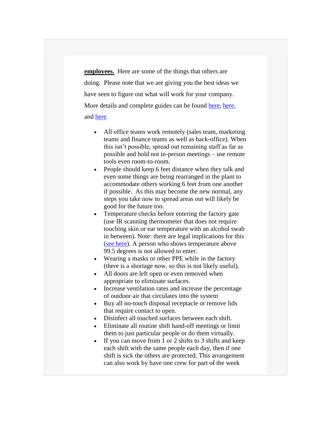**employees.** Here are some of the things that others are doing. Please note that we are giving you the best ideas we have seen to figure out what will work for your company. More details and complete guides can be found [here,](https://www.manufacturingsuccess.org/e2t/c/*W3Rm7JB1wpcN-VYPsws44zz-J0/*W1mtXF81Sw6YDW65wRmr2HJlXt0/5/f18dQhb0S66Z6_rzZBV1vjlV63C2h_W2ltSyW1k2W6PW7M9bYF6k0l3VW7LnSdc6Pd-7JW8VbR3_9b-ZqhW2qQh_n2M7r1LW8XD9z53_qhJwW32lNyV2sKGhZW7Kh1V889lX3NW1q0ZNX3k_T1HW1KmDd66Wc1fJW23JYhl6lGnvxN1v8scFScgF4W2YTbSs2M1bsJW1GZd_R8PRFPJN8Gw-qTHmYsKTyxX74chnZ2W2KgzfG3LVcg0W8SGnLJ4hp3tQW7Dj3wh1gP6BjN2sKP37nwvQ1W1bjTc22RpBZDVWV02C8-HGWwW17Kjf02mCMqMW5dkfp039skSpW6_Jpsg545_L6W2KZ58g3JmhvZW4BhFqW21CWg_W3HZ5Wv5J8ly9W7gmBhw1qHCvpW38gX9t10PMj9W72TNrh4VVtMLW6PntgY250CgBW7gzSM383rGSQW13zSQX6Yy-79W6hvd1b3YY18JW1hMj5w6VLpsXN788qprt2Y5lW7_6pys8g4GVPW9f9t886GDfsMW8Z5Bsn7jcBytW8tvBN_69Hb7NW4y7G0r4s8ZcbW2k1JwT5M4wzYW5L3R4z8XsZ5-f5KTs9Q02) [here,](https://www.manufacturingsuccess.org/e2t/c/*W3Rm7JB1wpcN-VYPsws44zz-J0/*W5XsgPc3z_jy4W6-KT9x7fKnbf0/5/f18dQhb0S5fy8XJblHN7pK2FsHbqG6W1yfnKS1PV3J0W7sR9j51vkZ1yW1L5k957qWQD6W7MVnwJ7KrBVBW7q67PK1Fn1xGW1CvZWZ90f5D-W6BzkzZ2FF0DNW1Hltsc7xR9_sW2Vjhb05bPQ0kW7v4vFh524rhCW3HtrQn4MyfywW2jNx1j7zN65hW1Ccflb55T8N8W7w3wPS1NC3KcW1F6KTt67PNRcW1N6PyR8XP0_7W4-HFcl45Vsh6W1P3QD54nbmx8VjSBfr205rGYW6g-Lrp6htf_KVpBFK422r9yHW4mKpTb7xzH0dW2M4Dq21KGCn9W20qclb7trkl3W49wBq_45Bkr1W8_gn_R6rkRkwW6wgCgw8Snx7lVyK5Jg2159HfN1LGxT-bjwpyW7L-Hpx73QsnmW1d5pgb4Q2TCyW29P9xn1cy04hW1WZcWJ60-BxhW1MbFx-24X8JYW3c_Zp63qvbjlW5bN28m7Gxyw1W2l6PKF3DGS84W8_kxCG64VDN0W5gLXXl75Kp6TW8v3Wwg1MWhN-W1MKddx4t0xFK111) and [here.](https://www.manufacturingsuccess.org/e2t/c/*W3Rm7JB1wpcN-VYPsws44zz-J0/*W7psHg93tKJ9jV3FqnD1fD2GZ0/5/f18dQhb0S3kg7w3gbpT2tx1900MnlW1sZPry5jCZQPW5pMqBj7Ybx8TW66JX7835319jW6Hd-wP5B6FwwW2hqxSD8w35FZW5WQHQ5629FRJW62-xm51KW_3KW8wh3447gVlgdW991sP-6W2fThW48Nxsx4YSykSN5p_Z26pVBb9W4JmtFC5mRtcsW57F7D64PwqZKW3c2zxn4b8WkLW8cMcD48vzhJgVBFw7Y7kcl_-N3_lP78hWrp6N5FLJz9yVjVlVwgJsM3pNNfyW5-P8kv47sp8bW15RgNK2FB96_W56vQLm3RT15CW2G4tY227D91YW5P-y9N3qk9wXVBv-Ky7TNZvKW7_9J8X5Y0CD8V4DHV_97jsmpV634Fg1Nql5BW4mxT4M4r8cXxW2_FGvj6m6Br8W6Rz4Vt2h5WfyW8f5w7B7SJKj1W8vRWLw5nMQVpVX57M231rGhkN89hWDqZPvzGN3hjyvMnQzJLW20pZxJ8YlDh5W3Vqxtq6_Nv7KW530ZN-2HVkXzW2-3pKR3JDmN0W5fSBZg1FGj-YW3gpdMz4B5V-4MYlVKFXBC3hW8DtMFC98VZYBW55sPZp44_7zmW6bNP-L43w3JfW9kCQKZ8Shnr3W6TykM975GRFWW6Q19mH26D53Z102)

- All office teams work remotely (sales team, marketing teams and finance teams as well as back-office). When this isn't possible, spread out remaining staff as far as possible and hold not in-person meetings – use remote tools even room-to-room.
- People should keep 6 feet distance when they talk and even some things are being rearranged in the plant to accommodate others working 6 feet from one another if possible. As this may become the new normal, any steps you take now to spread areas out will likely be good for the future too.
- Temperature checks before entering the factory gate (use IR scanning thermometer that does not require touching skin or ear temperature with an alcohol swab in between). Note: there are legal implications for this [\(see here\)](https://www.manufacturingsuccess.org/e2t/c/*W3Rm7JB1wpcN-VYPsws44zz-J0/*W6Z_7v44N9KxBW5_RTSf2PctkL0/5/f18dQhb0Sq5F8X-fbXW3x-NcB56n6L_W1N1Pq63SyQjDN1Nvw7TLDpF1W8CSvhf8DrNq6W5tgz3d5y47dkW8r4n9k1phgjKVVbMdh63n6JzW1qftmS2bbDF5W65kh_M7fKFdqMRHjTk5C0GnVh4xRg3Lr8mdW65jGRj8BSpLgW7ZkG8C7dT6Y3VQJJn63Lqnm_W8q5FTl68tQ2FW32p-C34cMd6zW7nwG0k2l_-mxW3X0g0y6bp1cMVbq5fx4TKc2lVQB7dy16L6vbN4XD4zYdZJ7cMY9zGdXnpJ7N8fhnRX2dwXdW7b_FSr4rWqXCW4VzPp03rt-TPW8ShsbJ96VX09W7glCrd3Tv12kW7dcNYT7YsPD0W5QHhSV3gsxtWVFVVrM640K4DVXw1n52xjX8fW25bHGr8pkCpWW8ql-fw8LmqyQW6Z-jvp6Pc2MKW37P0d415hnZlW2-2W786c6V6JV9-M5H56QKrzW61lPZv24JP6pW4Cyqll8nkCN-Vns0JX6v3FWvW1h6rR02TgrjQW3zpmpW4Pxhj5W3DlwBb9dp2hvf3ypqjC04). A person who shows temperature above 99.5 degrees is not allowed to enter.
- Wearing a masks or other PPE while in the factory (there is a shortage now, so this is not likely useful).
- All doors are left open or even removed when appropriate to eliminate surfaces.
- Increase ventilation rates and increase the percentage of outdoor air that circulates into the system
- Buy all no-touch disposal receptacle or remove lids that require contact to open.
- Disinfect all touched surfaces between each shift.
- Eliminate all routine shift hand-off meetings or limit them to just particular people or do them virtually.
- If you can move from 1 or 2 shifts to 3 shifts and keep each shift with the same people each day, then if one shift is sick the others are protected. This arrangement can also work by have one crew for part of the week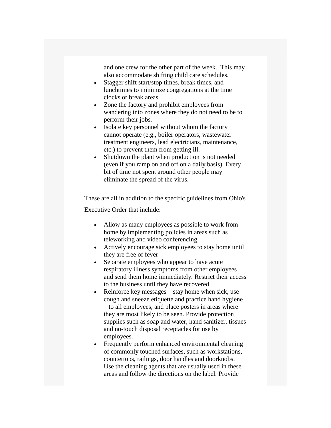and one crew for the other part of the week. This may also accommodate shifting child care schedules.

- Stagger shift start/stop times, break times, and lunchtimes to minimize congregations at the time clocks or break areas.
- Zone the factory and prohibit employees from wandering into zones where they do not need to be to perform their jobs.
- Isolate key personnel without whom the factory cannot operate (e.g., boiler operators, wastewater treatment engineers, lead electricians, maintenance, etc.) to prevent them from getting ill.
- Shutdown the plant when production is not needed (even if you ramp on and off on a daily basis). Every bit of time not spent around other people may eliminate the spread of the virus.

These are all in addition to the specific guidelines from Ohio's

Executive Order that include:

- Allow as many employees as possible to work from home by implementing policies in areas such as teleworking and video conferencing
- Actively encourage sick employees to stay home until they are free of fever
- Separate employees who appear to have acute respiratory illness symptoms from other employees and send them home immediately. Restrict their access to the business until they have recovered.
- Reinforce key messages  $-$  stay home when sick, use cough and sneeze etiquette and practice hand hygiene – to all employees, and place posters in areas where they are most likely to be seen. Provide protection supplies such as soap and water, hand sanitizer, tissues and no-touch disposal receptacles for use by employees.
- Frequently perform enhanced environmental cleaning of commonly touched surfaces, such as workstations, countertops, railings, door handles and doorknobs. Use the cleaning agents that are usually used in these areas and follow the directions on the label. Provide